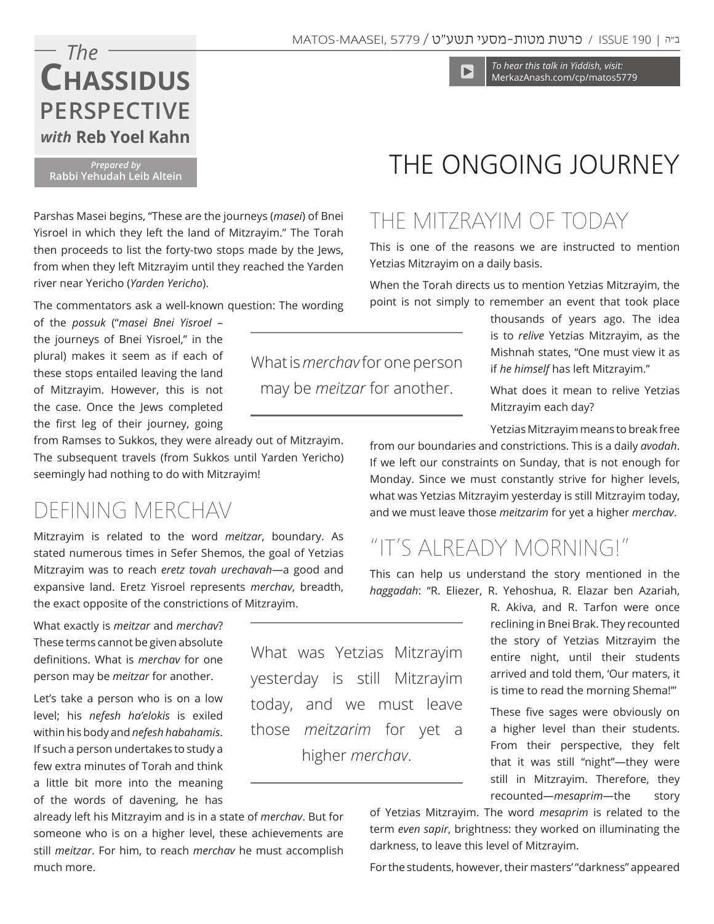## *The with* **Reb Yoel Kahn Chassidus Perspective**

*Prepared by*  **Rabbi Yehudah Leib Altein** 

Parshas Masei begins, "These are the journeys (*masei*) of Bnei Yisroel in which they left the land of Mitzrayim." The Torah then proceeds to list the forty-two stops made by the Jews, from when they left Mitzrayim until they reached the Yarden river near Yericho (*Yarden Yericho*).

The commentators ask a well-known question: The wording

of the *possuk* ("*masei Bnei Yisroel* – the journeys of Bnei Yisroel," in the plural) makes it seem as if each of these stops entailed leaving the land of Mitzrayim. However, this is not the case. Once the Jews completed the first leg of their journey, going

from Ramses to Sukkos, they were already out of Mitzrayim. The subsequent travels (from Sukkos until Yarden Yericho) seemingly had nothing to do with Mitzrayim!

### Defining Merchav

Mitzrayim is related to the word *meitzar*, boundary. As stated numerous times in Sefer Shemos, the goal of Yetzias Mitzrayim was to reach *eretz tovah urechavah*—a good and expansive land. Eretz Yisroel represents *merchav*, breadth, the exact opposite of the constrictions of Mitzrayim.

What exactly is *meitzar* and *merchav*? These terms cannot be given absolute definitions. What is *merchav* for one person may be *meitzar* for another.

Let's take a person who is on a low level; his *nefesh ha'elokis* is exiled within his body and *nefesh habahamis*. If such a person undertakes to study a few extra minutes of Torah and think a little bit more into the meaning of the words of davening, he has

already left his Mitzrayim and is in a state of *merchav*. But for someone who is on a higher level, these achievements are still *meitzar*. For him, to reach *merchav* he must accomplish much more.

What was Yetzias Mitzrayim yesterday is still Mitzrayim today, and we must leave those *meitzarim* for yet a higher *merchav*.

# The Ongoing Journey

*To hear this talk in Yiddish, visit:*  MerkazAnash.com/cp/matos5779

## The Mitzrayim of Today

This is one of the reasons we are instructed to mention Yetzias Mitzrayim on a daily basis.

When the Torah directs us to mention Yetzias Mitzrayim, the point is not simply to remember an event that took place

> thousands of years ago. The idea is to *relive* Yetzias Mitzrayim, as the Mishnah states, "One must view it as if *he himself* has left Mitzrayim."

> What does it mean to relive Yetzias Mitzrayim each day?

> Yetzias Mitzrayim means to break free

from our boundaries and constrictions. This is a daily *avodah*. If we left our constraints on Sunday, that is not enough for Monday. Since we must constantly strive for higher levels, what was Yetzias Mitzrayim yesterday is still Mitzrayim today, and we must leave those *meitzarim* for yet a higher *merchav*.

## "It's Already Morning!"

This can help us understand the story mentioned in the *haggadah*: "R. Eliezer, R. Yehoshua, R. Elazar ben Azariah,

> R. Akiva, and R. Tarfon were once reclining in Bnei Brak. They recounted the story of Yetzias Mitzrayim the entire night, until their students arrived and told them, 'Our maters, it is time to read the morning Shema!'"

> These five sages were obviously on a higher level than their students. From their perspective, they felt that it was still "night"—they were still in Mitzrayim. Therefore, they recounted—*mesaprim*—the story

of Yetzias Mitzrayim. The word *mesaprim* is related to the term *even sapir*, brightness: they worked on illuminating the darkness, to leave this level of Mitzrayim.

For the students, however, their masters' "darkness" appeared

What is *merchav* for one person may be *meitzar* for another.